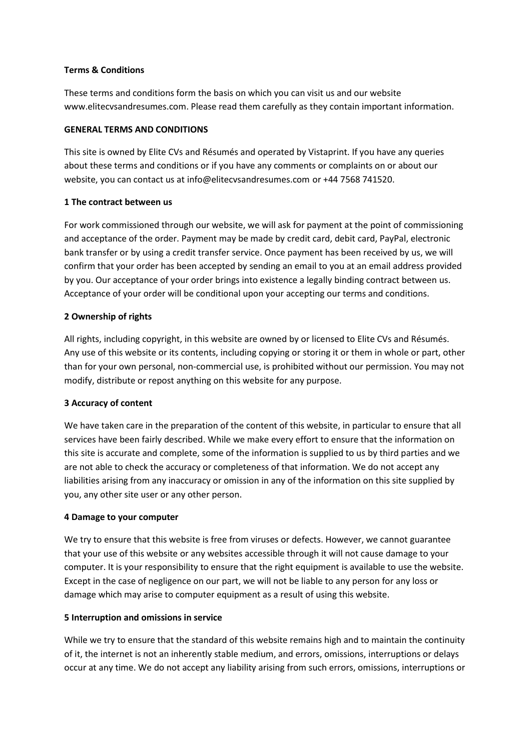#### **Terms & Conditions**

These terms and conditions form the basis on which you can visit us and our website www.elitecvsandresumes.com. Please read them carefully as they contain important information.

#### **GENERAL TERMS AND CONDITIONS**

This site is owned by Elite CVs and Résumés and operated by Vistaprint. If you have any queries about these terms and conditions or if you have any comments or complaints on or about our website, you can contact us at info@elitecvsandresumes.com or +44 7568 741520.

### **1 The contract between us**

For work commissioned through our website, we will ask for payment at the point of commissioning and acceptance of the order. Payment may be made by credit card, debit card, PayPal, electronic bank transfer or by using a credit transfer service. Once payment has been received by us, we will confirm that your order has been accepted by sending an email to you at an email address provided by you. Our acceptance of your order brings into existence a legally binding contract between us. Acceptance of your order will be conditional upon your accepting our terms and conditions.

# **2 Ownership of rights**

All rights, including copyright, in this website are owned by or licensed to Elite CVs and Résumés. Any use of this website or its contents, including copying or storing it or them in whole or part, other than for your own personal, non-commercial use, is prohibited without our permission. You may not modify, distribute or repost anything on this website for any purpose.

# **3 Accuracy of content**

We have taken care in the preparation of the content of this website, in particular to ensure that all services have been fairly described. While we make every effort to ensure that the information on this site is accurate and complete, some of the information is supplied to us by third parties and we are not able to check the accuracy or completeness of that information. We do not accept any liabilities arising from any inaccuracy or omission in any of the information on this site supplied by you, any other site user or any other person.

# **4 Damage to your computer**

We try to ensure that this website is free from viruses or defects. However, we cannot guarantee that your use of this website or any websites accessible through it will not cause damage to your computer. It is your responsibility to ensure that the right equipment is available to use the website. Except in the case of negligence on our part, we will not be liable to any person for any loss or damage which may arise to computer equipment as a result of using this website.

#### **5 Interruption and omissions in service**

While we try to ensure that the standard of this website remains high and to maintain the continuity of it, the internet is not an inherently stable medium, and errors, omissions, interruptions or delays occur at any time. We do not accept any liability arising from such errors, omissions, interruptions or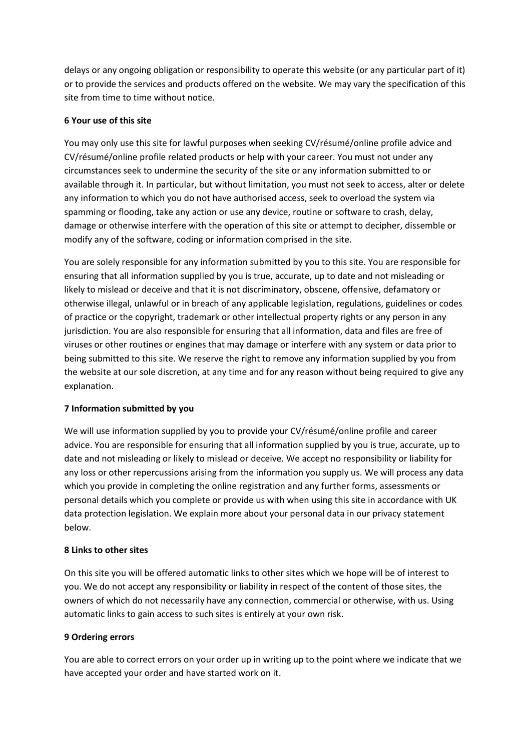delays or any ongoing obligation or responsibility to operate this website (or any particular part of it) or to provide the services and products offered on the website. We may vary the specification of this site from time to time without notice.

## **6 Your use of this site**

You may only use this site for lawful purposes when seeking CV/résumé/online profile advice and CV/résumé/online profile related products or help with your career. You must not under any circumstances seek to undermine the security of the site or any information submitted to or available through it. In particular, but without limitation, you must not seek to access, alter or delete any information to which you do not have authorised access, seek to overload the system via spamming or flooding, take any action or use any device, routine or software to crash, delay, damage or otherwise interfere with the operation of this site or attempt to decipher, dissemble or modify any of the software, coding or information comprised in the site.

You are solely responsible for any information submitted by you to this site. You are responsible for ensuring that all information supplied by you is true, accurate, up to date and not misleading or likely to mislead or deceive and that it is not discriminatory, obscene, offensive, defamatory or otherwise illegal, unlawful or in breach of any applicable legislation, regulations, guidelines or codes of practice or the copyright, trademark or other intellectual property rights or any person in any jurisdiction. You are also responsible for ensuring that all information, data and files are free of viruses or other routines or engines that may damage or interfere with any system or data prior to being submitted to this site. We reserve the right to remove any information supplied by you from the website at our sole discretion, at any time and for any reason without being required to give any explanation.

# **7 Information submitted by you**

We will use information supplied by you to provide your CV/résumé/online profile and career advice. You are responsible for ensuring that all information supplied by you is true, accurate, up to date and not misleading or likely to mislead or deceive. We accept no responsibility or liability for any loss or other repercussions arising from the information you supply us. We will process any data which you provide in completing the online registration and any further forms, assessments or personal details which you complete or provide us with when using this site in accordance with UK data protection legislation. We explain more about your personal data in our privacy statement below.

#### **8 Links to other sites**

On this site you will be offered automatic links to other sites which we hope will be of interest to you. We do not accept any responsibility or liability in respect of the content of those sites, the owners of which do not necessarily have any connection, commercial or otherwise, with us. Using automatic links to gain access to such sites is entirely at your own risk.

#### **9 Ordering errors**

You are able to correct errors on your order up in writing up to the point where we indicate that we have accepted your order and have started work on it.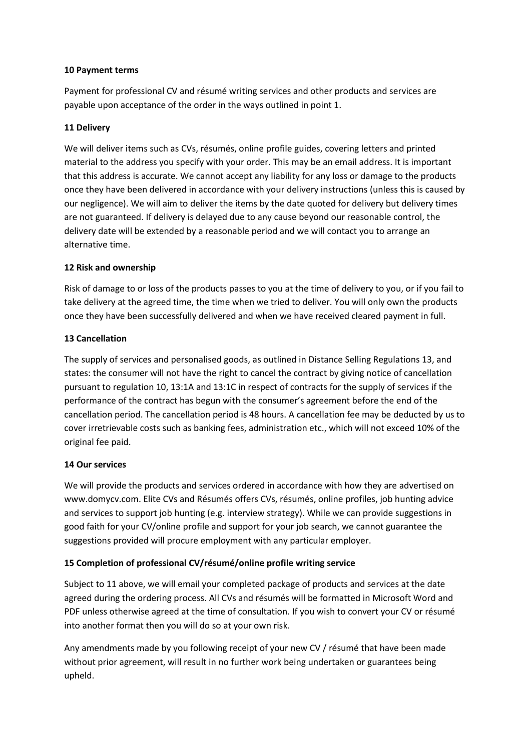### **10 Payment terms**

Payment for professional CV and résumé writing services and other products and services are payable upon acceptance of the order in the ways outlined in point 1.

# **11 Delivery**

We will deliver items such as CVs, résumés, online profile guides, covering letters and printed material to the address you specify with your order. This may be an email address. It is important that this address is accurate. We cannot accept any liability for any loss or damage to the products once they have been delivered in accordance with your delivery instructions (unless this is caused by our negligence). We will aim to deliver the items by the date quoted for delivery but delivery times are not guaranteed. If delivery is delayed due to any cause beyond our reasonable control, the delivery date will be extended by a reasonable period and we will contact you to arrange an alternative time.

### **12 Risk and ownership**

Risk of damage to or loss of the products passes to you at the time of delivery to you, or if you fail to take delivery at the agreed time, the time when we tried to deliver. You will only own the products once they have been successfully delivered and when we have received cleared payment in full.

### **13 Cancellation**

The supply of services and personalised goods, as outlined in Distance Selling Regulations 13, and states: the consumer will not have the right to cancel the contract by giving notice of cancellation pursuant to regulation 10, 13:1A and 13:1C in respect of contracts for the supply of services if the performance of the contract has begun with the consumer's agreement before the end of the cancellation period. The cancellation period is 48 hours. A cancellation fee may be deducted by us to cover irretrievable costs such as banking fees, administration etc., which will not exceed 10% of the original fee paid.

# **14 Our services**

We will provide the products and services ordered in accordance with how they are advertised on www.domycv.com. Elite CVs and Résumés offers CVs, résumés, online profiles, job hunting advice and services to support job hunting (e.g. interview strategy). While we can provide suggestions in good faith for your CV/online profile and support for your job search, we cannot guarantee the suggestions provided will procure employment with any particular employer.

# **15 Completion of professional CV/résumé/online profile writing service**

Subject to 11 above, we will email your completed package of products and services at the date agreed during the ordering process. All CVs and résumés will be formatted in Microsoft Word and PDF unless otherwise agreed at the time of consultation. If you wish to convert your CV or résumé into another format then you will do so at your own risk.

Any amendments made by you following receipt of your new CV / résumé that have been made without prior agreement, will result in no further work being undertaken or guarantees being upheld.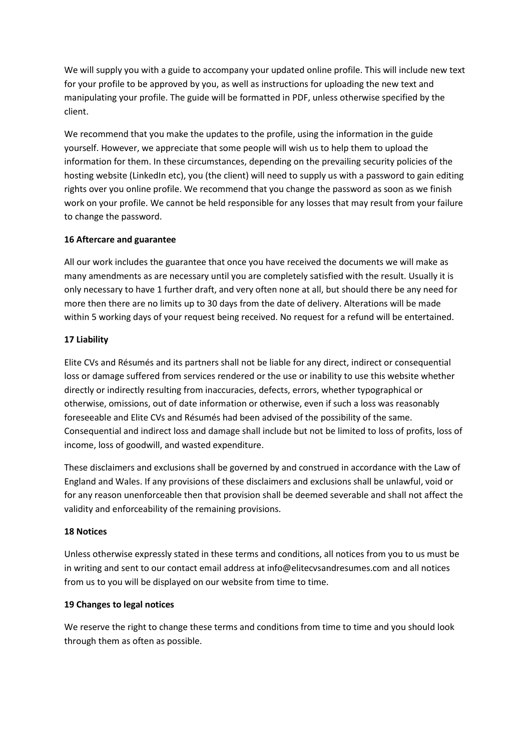We will supply you with a guide to accompany your updated online profile. This will include new text for your profile to be approved by you, as well as instructions for uploading the new text and manipulating your profile. The guide will be formatted in PDF, unless otherwise specified by the client.

We recommend that you make the updates to the profile, using the information in the guide yourself. However, we appreciate that some people will wish us to help them to upload the information for them. In these circumstances, depending on the prevailing security policies of the hosting website (LinkedIn etc), you (the client) will need to supply us with a password to gain editing rights over you online profile. We recommend that you change the password as soon as we finish work on your profile. We cannot be held responsible for any losses that may result from your failure to change the password.

# **16 Aftercare and guarantee**

All our work includes the guarantee that once you have received the documents we will make as many amendments as are necessary until you are completely satisfied with the result. Usually it is only necessary to have 1 further draft, and very often none at all, but should there be any need for more then there are no limits up to 30 days from the date of delivery. Alterations will be made within 5 working days of your request being received. No request for a refund will be entertained.

### **17 Liability**

Elite CVs and Résumés and its partners shall not be liable for any direct, indirect or consequential loss or damage suffered from services rendered or the use or inability to use this website whether directly or indirectly resulting from inaccuracies, defects, errors, whether typographical or otherwise, omissions, out of date information or otherwise, even if such a loss was reasonably foreseeable and Elite CVs and Résumés had been advised of the possibility of the same. Consequential and indirect loss and damage shall include but not be limited to loss of profits, loss of income, loss of goodwill, and wasted expenditure.

These disclaimers and exclusions shall be governed by and construed in accordance with the Law of England and Wales. If any provisions of these disclaimers and exclusions shall be unlawful, void or for any reason unenforceable then that provision shall be deemed severable and shall not affect the validity and enforceability of the remaining provisions.

#### **18 Notices**

Unless otherwise expressly stated in these terms and conditions, all notices from you to us must be in writing and sent to our contact email address at info@elitecvsandresumes.com and all notices from us to you will be displayed on our website from time to time.

#### **19 Changes to legal notices**

We reserve the right to change these terms and conditions from time to time and you should look through them as often as possible.